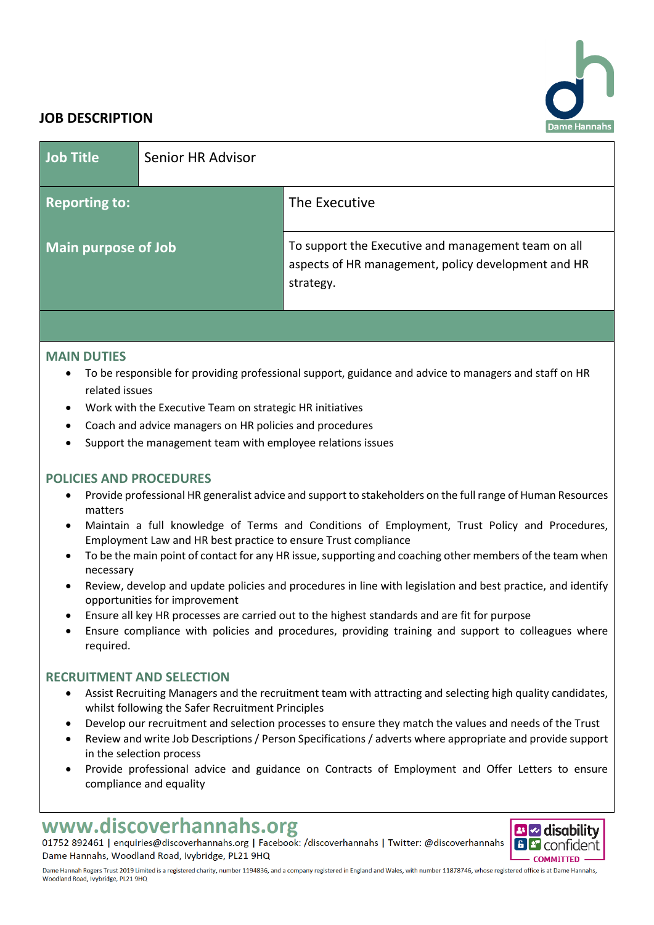

# **JOB DESCRIPTION**

| Job Title                  | Senior HR Advisor |                                                                                                                         |
|----------------------------|-------------------|-------------------------------------------------------------------------------------------------------------------------|
| <b>Reporting to:</b>       |                   | The Executive                                                                                                           |
| <b>Main purpose of Job</b> |                   | To support the Executive and management team on all<br>aspects of HR management, policy development and HR<br>strategy. |
|                            |                   |                                                                                                                         |

## **MAIN DUTIES**

- To be responsible for providing professional support, guidance and advice to managers and staff on HR related issues
- Work with the Executive Team on strategic HR initiatives
- Coach and advice managers on HR policies and procedures
- Support the management team with employee relations issues

## **POLICIES AND PROCEDURES**

- Provide professional HR generalist advice and support to stakeholders on the full range of Human Resources matters
- Maintain a full knowledge of Terms and Conditions of Employment, Trust Policy and Procedures, Employment Law and HR best practice to ensure Trust compliance
- To be the main point of contact for any HR issue, supporting and coaching other members of the team when necessary
- Review, develop and update policies and procedures in line with legislation and best practice, and identify opportunities for improvement
- Ensure all key HR processes are carried out to the highest standards and are fit for purpose
- Ensure compliance with policies and procedures, providing training and support to colleagues where required.

## **RECRUITMENT AND SELECTION**

- Assist Recruiting Managers and the recruitment team with attracting and selecting high quality candidates, whilst following the Safer Recruitment Principles
- Develop our recruitment and selection processes to ensure they match the values and needs of the Trust
- Review and write Job Descriptions / Person Specifications / adverts where appropriate and provide support in the selection process
- Provide professional advice and guidance on Contracts of Employment and Offer Letters to ensure compliance and equality

# www.discoverhannahs.org

01752 892461 | enquiries@discoverhannahs.org | Facebook: /discoverhannahs | Twitter: @discoverhannahs Dame Hannahs, Woodland Road, Ivybridge, PL21 9HQ

**BIZ** disability **6** *P* confident **COMMITTED** 

Dame Hannah Rogers Trust 2019 Limited is a registered charity, number 1194836, and a company registered in England and Wales, with number 11878746, whose registered office is at Dame Hannahs, Woodland Road, Ivybridge, PL21 9HQ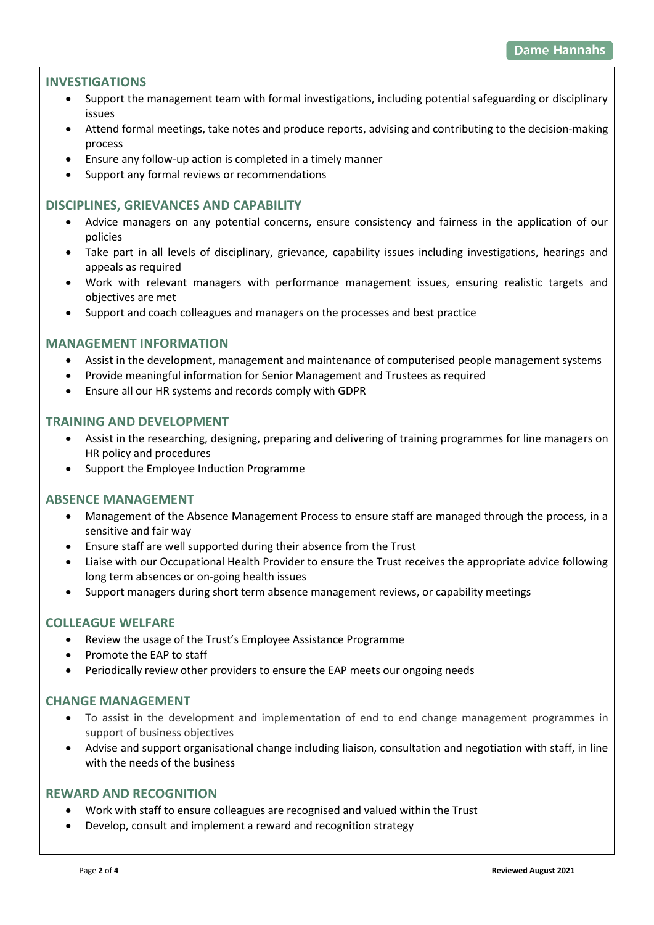# **INVESTIGATIONS**

- Support the management team with formal investigations, including potential safeguarding or disciplinary issues
- Attend formal meetings, take notes and produce reports, advising and contributing to the decision-making process
- Ensure any follow-up action is completed in a timely manner
- Support any formal reviews or recommendations

## **DISCIPLINES, GRIEVANCES AND CAPABILITY**

- Advice managers on any potential concerns, ensure consistency and fairness in the application of our policies
- Take part in all levels of disciplinary, grievance, capability issues including investigations, hearings and appeals as required
- Work with relevant managers with performance management issues, ensuring realistic targets and objectives are met
- Support and coach colleagues and managers on the processes and best practice

#### **MANAGEMENT INFORMATION**

- Assist in the development, management and maintenance of computerised people management systems
- Provide meaningful information for Senior Management and Trustees as required
- Ensure all our HR systems and records comply with GDPR

#### **TRAINING AND DEVELOPMENT**

- Assist in the researching, designing, preparing and delivering of training programmes for line managers on HR policy and procedures
- Support the Employee Induction Programme

## **ABSENCE MANAGEMENT**

- Management of the Absence Management Process to ensure staff are managed through the process, in a sensitive and fair way
- Ensure staff are well supported during their absence from the Trust
- Liaise with our Occupational Health Provider to ensure the Trust receives the appropriate advice following long term absences or on-going health issues
- Support managers during short term absence management reviews, or capability meetings

## **COLLEAGUE WELFARE**

- Review the usage of the Trust's Employee Assistance Programme
- Promote the EAP to staff
- Periodically review other providers to ensure the EAP meets our ongoing needs

## **CHANGE MANAGEMENT**

- To assist in the development and implementation of end to end change management programmes in support of business objectives
- Advise and support organisational change including liaison, consultation and negotiation with staff, in line with the needs of the business

#### **REWARD AND RECOGNITION**

- Work with staff to ensure colleagues are recognised and valued within the Trust
- Develop, consult and implement a reward and recognition strategy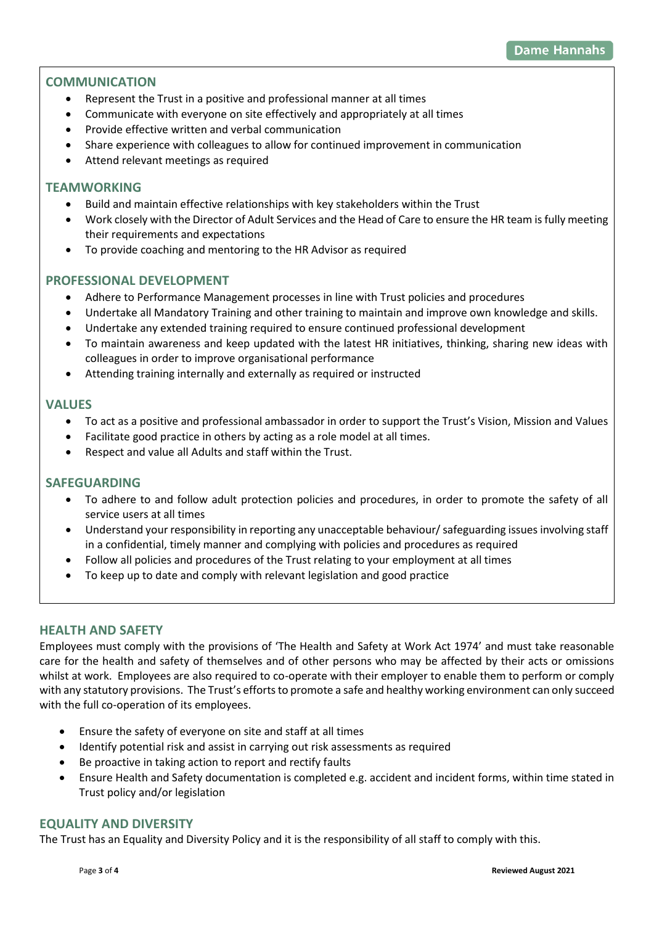# **COMMUNICATION**

- Represent the Trust in a positive and professional manner at all times
- Communicate with everyone on site effectively and appropriately at all times
- Provide effective written and verbal communication
- Share experience with colleagues to allow for continued improvement in communication
- Attend relevant meetings as required

## **TEAMWORKING**

- Build and maintain effective relationships with key stakeholders within the Trust
- Work closely with the Director of Adult Services and the Head of Care to ensure the HR team is fully meeting their requirements and expectations
- To provide coaching and mentoring to the HR Advisor as required

## **PROFESSIONAL DEVELOPMENT**

- Adhere to Performance Management processes in line with Trust policies and procedures
- Undertake all Mandatory Training and other training to maintain and improve own knowledge and skills.
- Undertake any extended training required to ensure continued professional development
- To maintain awareness and keep updated with the latest HR initiatives, thinking, sharing new ideas with colleagues in order to improve organisational performance
- Attending training internally and externally as required or instructed

### **VALUES**

- To act as a positive and professional ambassador in order to support the Trust's Vision, Mission and Values
- Facilitate good practice in others by acting as a role model at all times.
- Respect and value all Adults and staff within the Trust.

#### **SAFEGUARDING**

- To adhere to and follow adult protection policies and procedures, in order to promote the safety of all service users at all times
- Understand your responsibility in reporting any unacceptable behaviour/ safeguarding issues involving staff in a confidential, timely manner and complying with policies and procedures as required
- Follow all policies and procedures of the Trust relating to your employment at all times
- To keep up to date and comply with relevant legislation and good practice

## **HEALTH AND SAFETY**

Employees must comply with the provisions of 'The Health and Safety at Work Act 1974' and must take reasonable care for the health and safety of themselves and of other persons who may be affected by their acts or omissions whilst at work. Employees are also required to co-operate with their employer to enable them to perform or comply with any statutory provisions. The Trust's efforts to promote a safe and healthy working environment can only succeed with the full co-operation of its employees.

- Ensure the safety of everyone on site and staff at all times
- Identify potential risk and assist in carrying out risk assessments as required
- Be proactive in taking action to report and rectify faults
- Ensure Health and Safety documentation is completed e.g. accident and incident forms, within time stated in Trust policy and/or legislation

## **EQUALITY AND DIVERSITY**

The Trust has an Equality and Diversity Policy and it is the responsibility of all staff to comply with this.